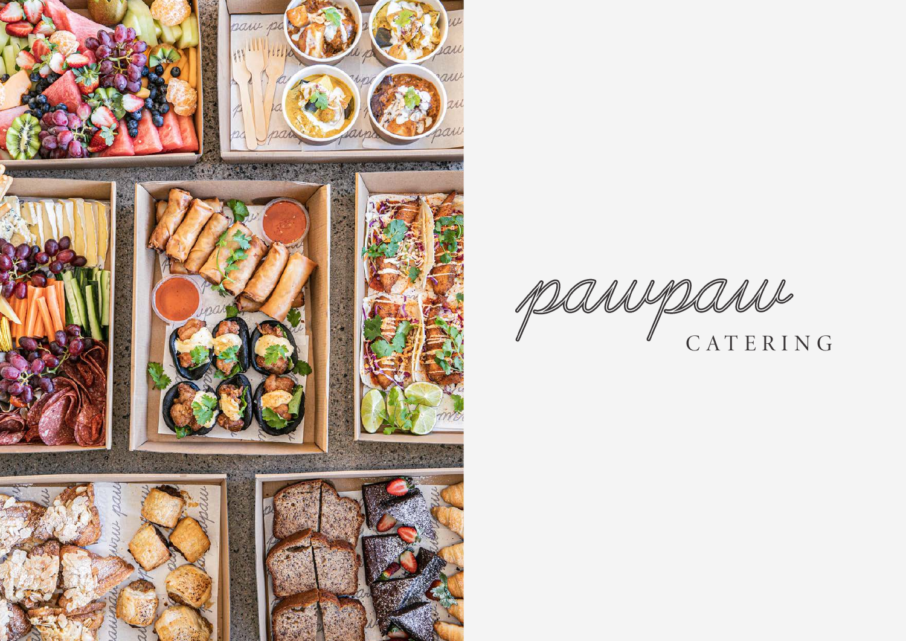

panyeans CATERING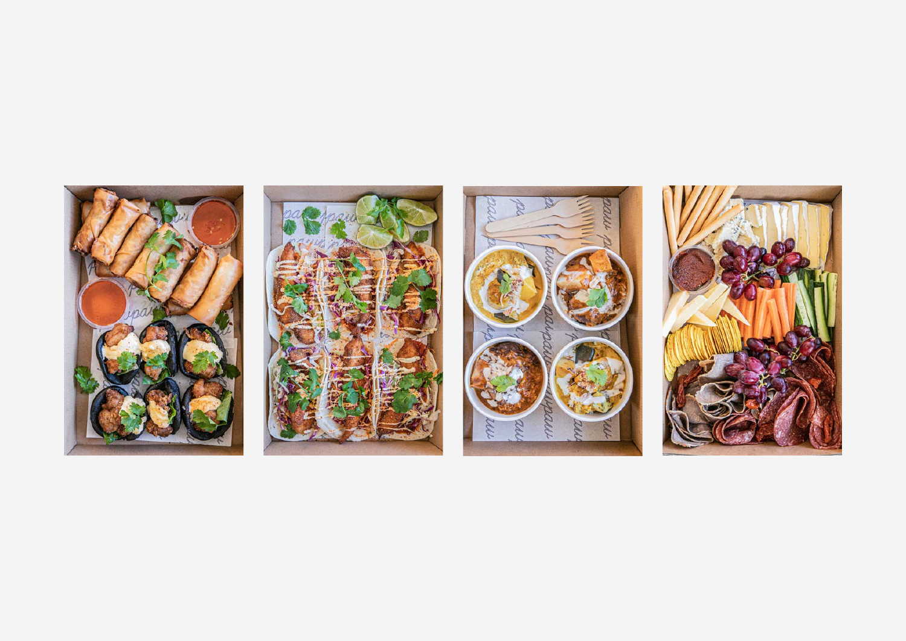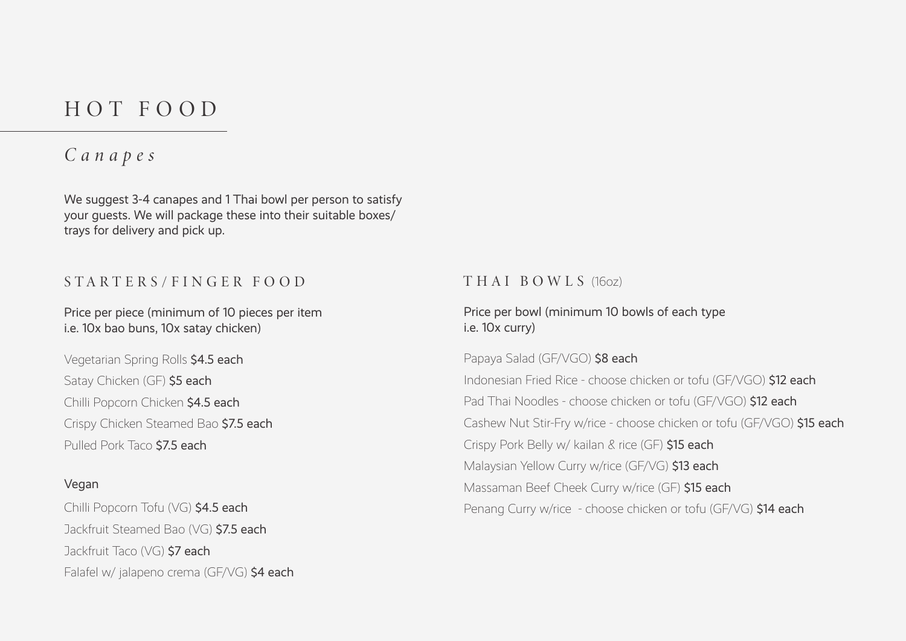# HOT FOOD

# *Canapes*

We suggest 3-4 canapes and 1 Thai bowl per person to satisfy your guests. We will package these into their suitable boxes/ trays for delivery and pick up.

## STARTER S/FINGER FO OD

Price per piece (minimum of 10 pieces per item i.e. 10x bao buns, 10x satay chicken)

Vegetarian Spring Rolls \$4.5 each Satay Chicken (GF) \$5 each Chilli Popcorn Chicken \$4.5 each Crispy Chicken Steamed Bao \$7.5 each Pulled Pork Taco \$7.5 each

### Vegan

Chilli Popcorn Tofu (VG) \$4.5 each Jackfruit Steamed Bao (VG) \$7.5 each Jackfruit Taco (VG) \$7 each Falafel w/ jalapeno crema (GF/VG) \$4 each

### THAI BOWLS (16oz)

Price per bowl (minimum 10 bowls of each type i.e. 10x curry)

Papaya Salad (GF/VGO) \$8 each Indonesian Fried Rice - choose chicken or tofu (GF/VGO) \$12 each Pad Thai Noodles - choose chicken or tofu (GF/VGO) \$12 each Cashew Nut Stir-Fry w/rice - choose chicken or tofu (GF/VGO) \$15 each Crispy Pork Belly w/ kailan & rice (GF) \$15 each Malaysian Yellow Curry w/rice (GF/VG) \$13 each Massaman Beef Cheek Curry w/rice (GF) \$15 each Penang Curry w/rice - choose chicken or tofu (GF/VG) \$14 each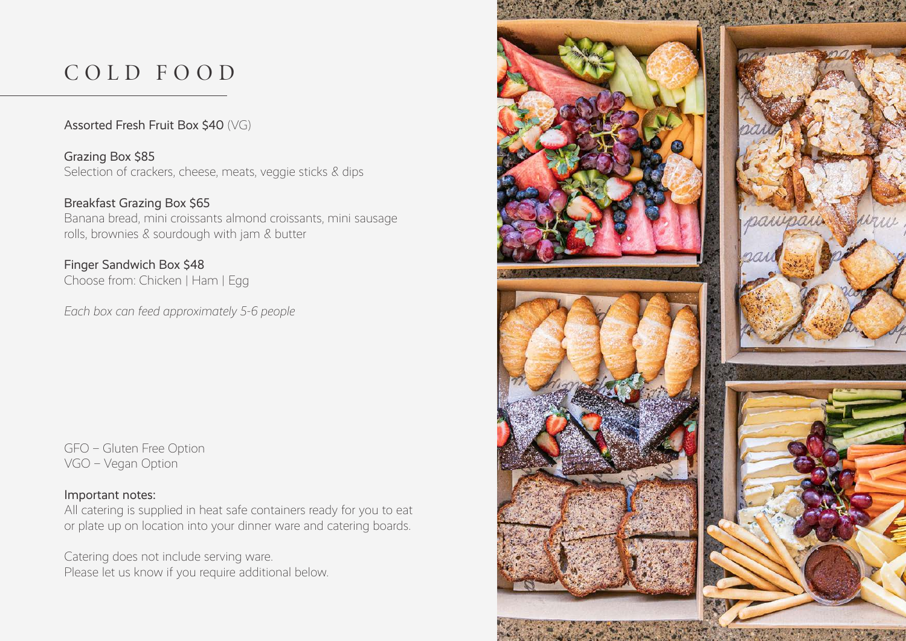# COLD FOOD

Assorted Fresh Fruit Box \$40 (VG)

Grazing Box \$85 Selection of crackers, cheese, meats, veggie sticks & dips

Breakfast Grazing Box \$65 Banana bread, mini croissants almond croissants, mini sausage rolls, brownies & sourdough with jam & butter

Finger Sandwich Box \$48 Choose from: Chicken | Ham | Egg

*Each box can feed approximately 5-6 people*

GFO – Gluten Free Option VGO – Vegan Option

### Important notes:

All catering is supplied in heat safe containers ready for you to eat or plate up on location into your dinner ware and catering boards.

Catering does not include serving ware. Please let us know if you require additional below.

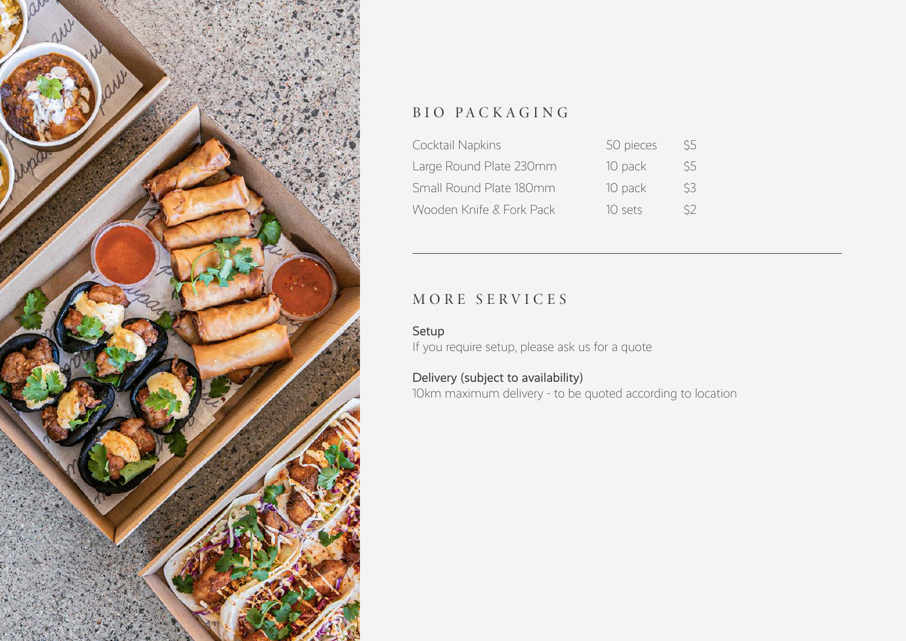

## BIO PACK AGING

| Cocktail Napkins         | 50 pieces | S5  |
|--------------------------|-----------|-----|
| Large Round Plate 230mm  | 10 pack   | \$5 |
| Small Round Plate 180mm  | 10 pack   | S3  |
| Wooden Knife & Fork Pack | 10 sets   | 52  |

## MORE SERVICES

## Setup

If you require setup, please ask us for a quote

## Delivery (subject to availability)

10km maximum delivery - to be quoted according to location